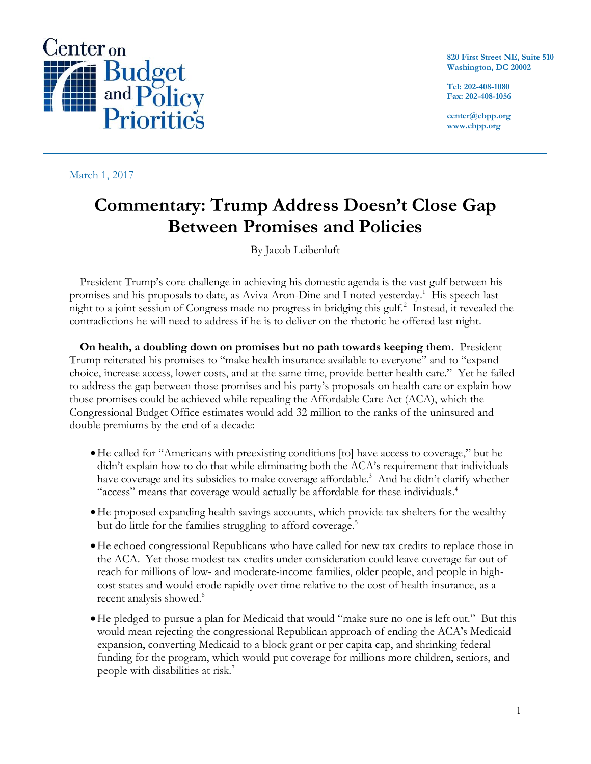

March 1, 2017

**820 First Street NE, Suite 510 Washington, DC 20002**

**Tel: 202-408-1080 Fax: 202-408-1056**

**center@cbpp.org www.cbpp.org**

## **Commentary: Trump Address Doesn't Close Gap Between Promises and Policies**

By Jacob Leibenluft

President Trump's core challenge in achieving his domestic agenda is the vast gulf between his promises and his proposals to date, as Aviva Aron-Dine and I noted yesterday.<sup>1</sup> His speech last night to a joint session of Congress made no progress in bridging this gulf. 2 Instead, it revealed the contradictions he will need to address if he is to deliver on the rhetoric he offered last night.

**On health, a doubling down on promises but no path towards keeping them.** President Trump reiterated his promises to "make health insurance available to everyone" and to "expand choice, increase access, lower costs, and at the same time, provide better health care." Yet he failed to address the gap between those promises and his party's proposals on health care or explain how those promises could be achieved while repealing the Affordable Care Act (ACA), which the Congressional Budget Office estimates would add 32 million to the ranks of the uninsured and double premiums by the end of a decade:

- He called for "Americans with preexisting conditions [to] have access to coverage," but he didn't explain how to do that while eliminating both the ACA's requirement that individuals have coverage and its subsidies to make coverage affordable. <sup>3</sup> And he didn't clarify whether "access" means that coverage would actually be affordable for these individuals.<sup>4</sup>
- He proposed expanding health savings accounts, which provide tax shelters for the wealthy but do little for the families struggling to afford coverage.<sup>5</sup>
- He echoed congressional Republicans who have called for new tax credits to replace those in the ACA. Yet those modest tax credits under consideration could leave coverage far out of reach for millions of low- and moderate-income families, older people, and people in highcost states and would erode rapidly over time relative to the cost of health insurance, as a recent analysis showed. 6
- He pledged to pursue a plan for Medicaid that would "make sure no one is left out." But this would mean rejecting the congressional Republican approach of ending the ACA's Medicaid expansion, converting Medicaid to a block grant or per capita cap, and shrinking federal funding for the program, which would put coverage for millions more children, seniors, and people with disabilities at risk.<sup>7</sup>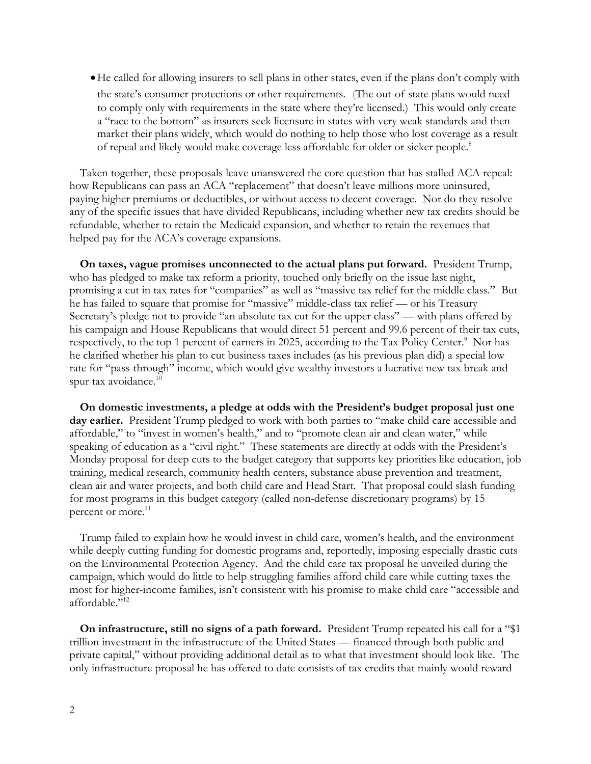He called for allowing insurers to sell plans in other states, even if the plans don't comply with the state's consumer protections or other requirements. (The out-of-state plans would need to comply only with requirements in the state where they're licensed.) This would only create a "race to the bottom" as insurers seek licensure in states with very weak standards and then market their plans widely, which would do nothing to help those who lost coverage as a result of repeal and likely would make coverage less affordable for older or sicker people. 8

Taken together, these proposals leave unanswered the core question that has stalled ACA repeal: how Republicans can pass an ACA "replacement" that doesn't leave millions more uninsured, paying higher premiums or deductibles, or without access to decent coverage. Nor do they resolve any of the specific issues that have divided Republicans, including whether new tax credits should be refundable, whether to retain the Medicaid expansion, and whether to retain the revenues that helped pay for the ACA's coverage expansions.

**On taxes, vague promises unconnected to the actual plans put forward.** President Trump, who has pledged to make tax reform a priority, touched only briefly on the issue last night, promising a cut in tax rates for "companies" as well as "massive tax relief for the middle class." But he has failed to square that promise for "massive" middle-class tax relief — or his Treasury Secretary's pledge not to provide "an absolute tax cut for the upper class" — with plans offered by his campaign and House Republicans that would direct 51 percent and 99.6 percent of their tax cuts, respectively, to the top 1 percent of earners in 2025, according to the Tax Policy Center.<sup>9</sup> Nor has he clarified whether his plan to cut business taxes includes (as his previous plan did) a special low rate for "pass-through" income, which would give wealthy investors a lucrative new tax break and spur tax avoidance.<sup>10</sup>

**On domestic investments, a pledge at odds with the President's budget proposal just one day earlier.** President Trump pledged to work with both parties to "make child care accessible and affordable," to "invest in women's health," and to "promote clean air and clean water," while speaking of education as a "civil right." These statements are directly at odds with the President's Monday proposal for deep cuts to the budget category that supports key priorities like education, job training, medical research, community health centers, substance abuse prevention and treatment, clean air and water projects, and both child care and Head Start. That proposal could slash funding for most programs in this budget category (called non-defense discretionary programs) by 15 percent or more.<sup>11</sup>

Trump failed to explain how he would invest in child care, women's health, and the environment while deeply cutting funding for domestic programs and, reportedly, imposing especially drastic cuts on the Environmental Protection Agency. And the child care tax proposal he unveiled during the campaign, which would do little to help struggling families afford child care while cutting taxes the most for higher-income families, isn't consistent with his promise to make child care "accessible and affordable."<sup>12</sup>

**On infrastructure, still no signs of a path forward.** President Trump repeated his call for a "\$1 trillion investment in the infrastructure of the United States — financed through both public and private capital," without providing additional detail as to what that investment should look like. The only infrastructure proposal he has offered to date consists of tax credits that mainly would reward